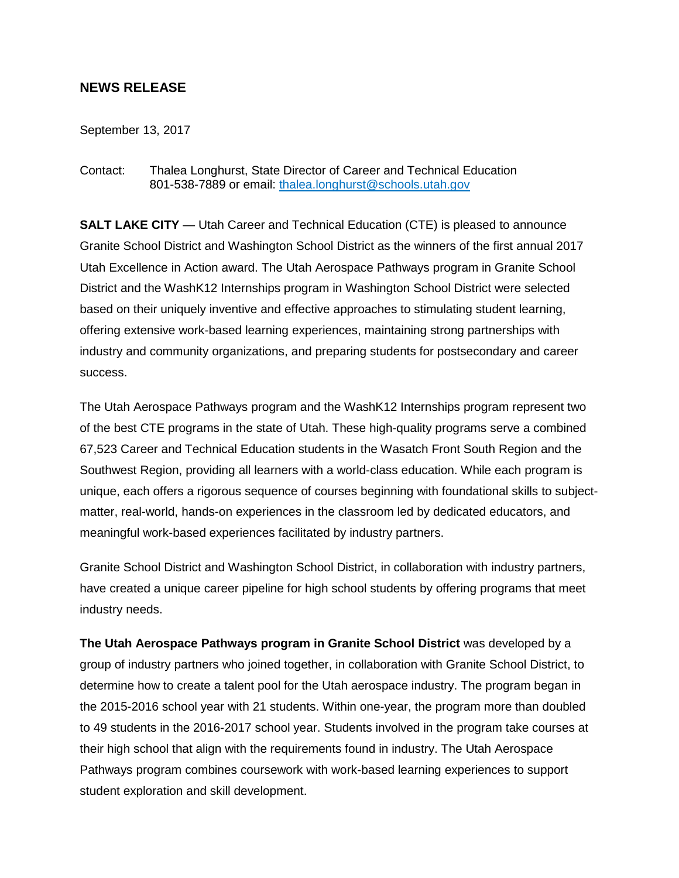## **NEWS RELEASE**

September 13, 2017

Contact: Thalea Longhurst, State Director of Career and Technical Education 801-538-7889 or email: [thalea.longhurst@schools.utah.gov](mailto:thalea.longhurst@schools.utah.gov)

**SALT LAKE CITY** — Utah Career and Technical Education (CTE) is pleased to announce Granite School District and Washington School District as the winners of the first annual 2017 Utah Excellence in Action award. The Utah Aerospace Pathways program in Granite School District and the WashK12 Internships program in Washington School District were selected based on their uniquely inventive and effective approaches to stimulating student learning, offering extensive work-based learning experiences, maintaining strong partnerships with industry and community organizations, and preparing students for postsecondary and career success.

The Utah Aerospace Pathways program and the WashK12 Internships program represent two of the best CTE programs in the state of Utah. These high-quality programs serve a combined 67,523 Career and Technical Education students in the Wasatch Front South Region and the Southwest Region, providing all learners with a world-class education. While each program is unique, each offers a rigorous sequence of courses beginning with foundational skills to subjectmatter, real-world, hands-on experiences in the classroom led by dedicated educators, and meaningful work-based experiences facilitated by industry partners.

Granite School District and Washington School District, in collaboration with industry partners, have created a unique career pipeline for high school students by offering programs that meet industry needs.

**The Utah Aerospace Pathways program in Granite School District** was developed by a group of industry partners who joined together, in collaboration with Granite School District, to determine how to create a talent pool for the Utah aerospace industry. The program began in the 2015-2016 school year with 21 students. Within one-year, the program more than doubled to 49 students in the 2016-2017 school year. Students involved in the program take courses at their high school that align with the requirements found in industry. The Utah Aerospace Pathways program combines coursework with work-based learning experiences to support student exploration and skill development.